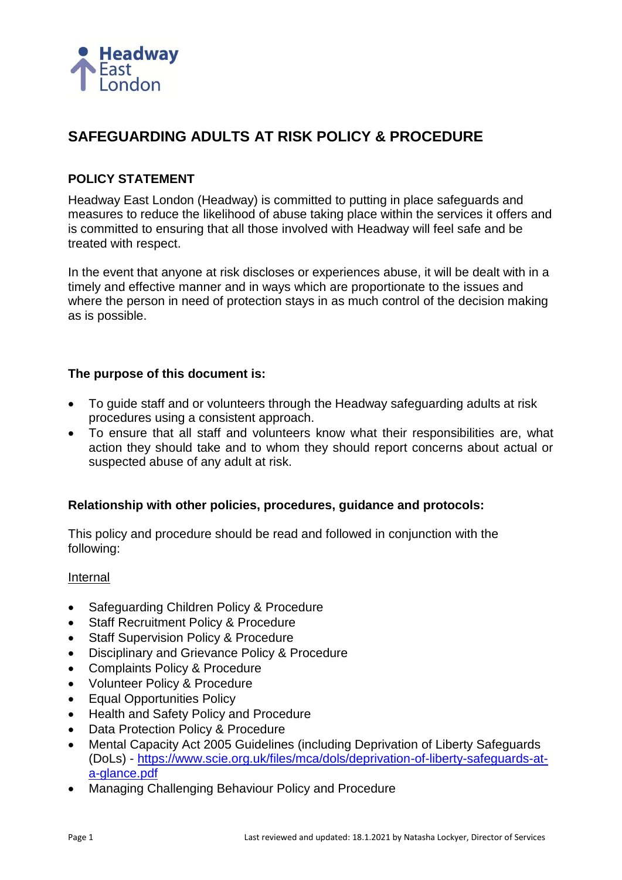

# **SAFEGUARDING ADULTS AT RISK POLICY & PROCEDURE**

## **POLICY STATEMENT**

Headway East London (Headway) is committed to putting in place safeguards and measures to reduce the likelihood of abuse taking place within the services it offers and is committed to ensuring that all those involved with Headway will feel safe and be treated with respect.

In the event that anyone at risk discloses or experiences abuse, it will be dealt with in a timely and effective manner and in ways which are proportionate to the issues and where the person in need of protection stays in as much control of the decision making as is possible.

## **The purpose of this document is:**

- To guide staff and or volunteers through the Headway safeguarding adults at risk procedures using a consistent approach.
- To ensure that all staff and volunteers know what their responsibilities are, what action they should take and to whom they should report concerns about actual or suspected abuse of any adult at risk.

## **Relationship with other policies, procedures, guidance and protocols:**

This policy and procedure should be read and followed in conjunction with the following:

#### Internal

- Safeguarding Children Policy & Procedure
- **Staff Recruitment Policy & Procedure**
- **Staff Supervision Policy & Procedure**
- Disciplinary and Grievance Policy & Procedure
- Complaints Policy & Procedure
- Volunteer Policy & Procedure
- Equal Opportunities Policy
- Health and Safety Policy and Procedure
- Data Protection Policy & Procedure
- Mental Capacity Act 2005 Guidelines (including Deprivation of Liberty Safeguards (DoLs) - [https://www.scie.org.uk/files/mca/dols/deprivation-of-liberty-safeguards-at](https://www.scie.org.uk/files/mca/dols/deprivation-of-liberty-safeguards-at-a-glance.pdf)[a-glance.pdf](https://www.scie.org.uk/files/mca/dols/deprivation-of-liberty-safeguards-at-a-glance.pdf)
- Managing Challenging Behaviour Policy and Procedure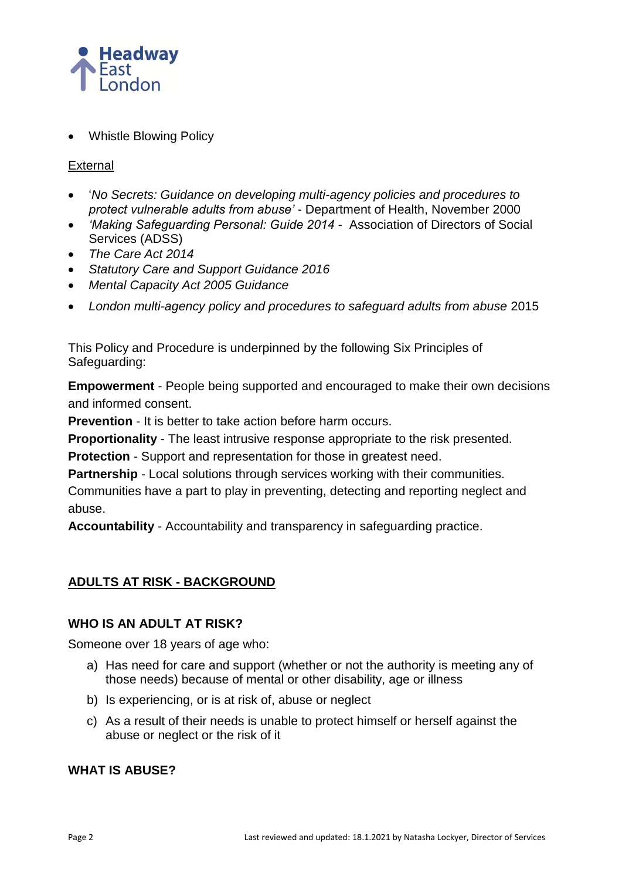

• Whistle Blowing Policy

## External

- '*No Secrets: Guidance on developing multi-agency policies and procedures to protect vulnerable adults from abuse'* - Department of Health, November 2000
- *'Making Safeguarding Personal: Guide 2014* Association of Directors of Social Services (ADSS)
- *The Care Act 2014*
- *Statutory Care and Support Guidance 2016*
- *Mental Capacity Act 2005 Guidance*
- *London multi-agency policy and procedures to safeguard adults from abuse* 2015

This Policy and Procedure is underpinned by the following Six Principles of Safeguarding:

**Empowerment** - People being supported and encouraged to make their own decisions and informed consent.

**Prevention** - It is better to take action before harm occurs.

**Proportionality** - The least intrusive response appropriate to the risk presented.

**Protection** - Support and representation for those in greatest need.

**Partnership** - Local solutions through services working with their communities.

Communities have a part to play in preventing, detecting and reporting neglect and abuse.

**Accountability** - Accountability and transparency in safeguarding practice.

# **ADULTS AT RISK - BACKGROUND**

# **WHO IS AN ADULT AT RISK?**

Someone over 18 years of age who:

- a) Has need for care and support (whether or not the authority is meeting any of those needs) because of mental or other disability, age or illness
- b) Is experiencing, or is at risk of, abuse or neglect
- c) As a result of their needs is unable to protect himself or herself against the abuse or neglect or the risk of it

## **WHAT IS ABUSE?**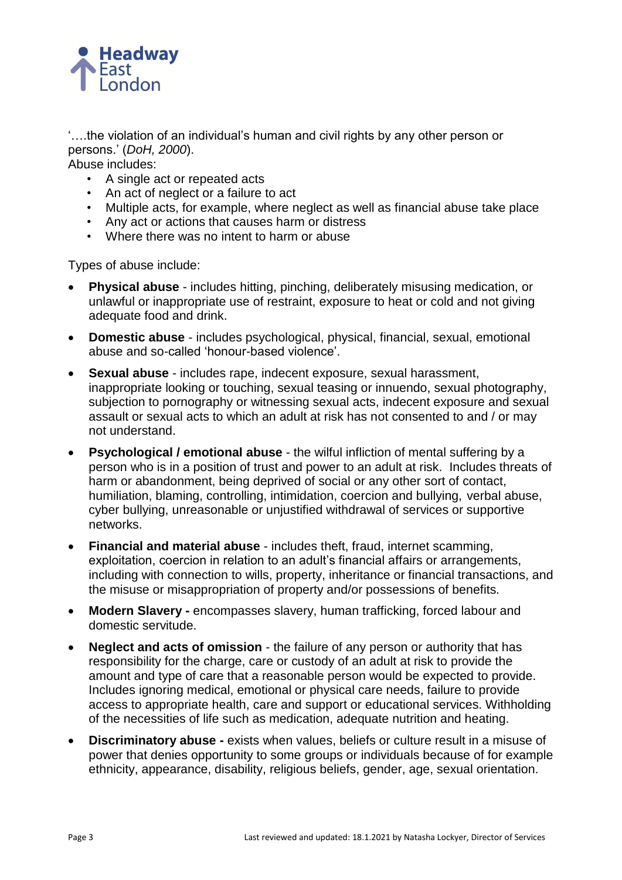

'….the violation of an individual's human and civil rights by any other person or persons.' (*DoH, 2000*).

Abuse includes:

- A single act or repeated acts
- An act of neglect or a failure to act
- Multiple acts, for example, where neglect as well as financial abuse take place
- Any act or actions that causes harm or distress
- Where there was no intent to harm or abuse

Types of abuse include:

- **Physical abuse** includes hitting, pinching, deliberately misusing medication, or unlawful or inappropriate use of restraint, exposure to heat or cold and not giving adequate food and drink.
- **Domestic abuse**  includes psychological, physical, financial, sexual, emotional abuse and so-called 'honour-based violence'.
- **Sexual abuse** includes rape, indecent exposure, sexual harassment, inappropriate looking or touching, sexual teasing or innuendo, sexual photography, subjection to pornography or witnessing sexual acts, indecent exposure and sexual assault or sexual acts to which an adult at risk has not consented to and / or may not understand.
- **Psychological / emotional abuse** the wilful infliction of mental suffering by a person who is in a position of trust and power to an adult at risk. Includes threats of harm or abandonment, being deprived of social or any other sort of contact, humiliation, blaming, controlling, intimidation, coercion and bullying, verbal abuse, cyber bullying, unreasonable or unjustified withdrawal of services or supportive networks.
- **Financial and material abuse** includes theft, fraud, internet scamming, exploitation, coercion in relation to an adult's financial affairs or arrangements, including with connection to wills, property, inheritance or financial transactions, and the misuse or misappropriation of property and/or possessions of benefits.
- **Modern Slavery -** encompasses slavery, human trafficking, forced labour and domestic servitude.
- **Neglect and acts of omission** the failure of any person or authority that has responsibility for the charge, care or custody of an adult at risk to provide the amount and type of care that a reasonable person would be expected to provide. Includes ignoring medical, emotional or physical care needs, failure to provide access to appropriate health, care and support or educational services. Withholding of the necessities of life such as medication, adequate nutrition and heating.
- **Discriminatory abuse -** exists when values, beliefs or culture result in a misuse of power that denies opportunity to some groups or individuals because of for example ethnicity, appearance, disability, religious beliefs, gender, age, sexual orientation.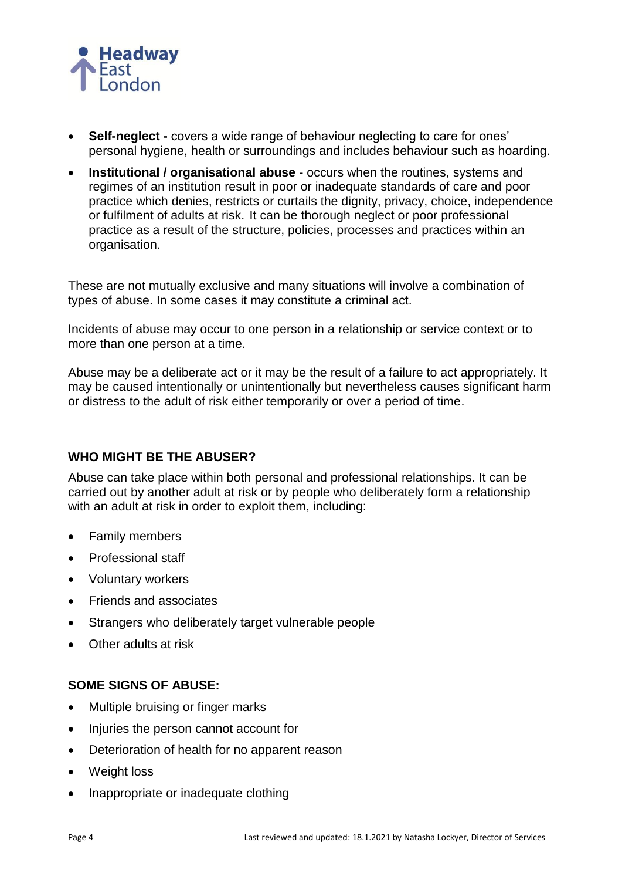

- **Self-neglect -** covers a wide range of behaviour neglecting to care for ones' personal hygiene, health or surroundings and includes behaviour such as hoarding.
- **Institutional / organisational abuse** occurs when the routines, systems and regimes of an institution result in poor or inadequate standards of care and poor practice which denies, restricts or curtails the dignity, privacy, choice, independence or fulfilment of adults at risk. It can be thorough neglect or poor professional practice as a result of the structure, policies, processes and practices within an organisation.

These are not mutually exclusive and many situations will involve a combination of types of abuse. In some cases it may constitute a criminal act.

Incidents of abuse may occur to one person in a relationship or service context or to more than one person at a time.

Abuse may be a deliberate act or it may be the result of a failure to act appropriately. It may be caused intentionally or unintentionally but nevertheless causes significant harm or distress to the adult of risk either temporarily or over a period of time.

## **WHO MIGHT BE THE ABUSER?**

Abuse can take place within both personal and professional relationships. It can be carried out by another adult at risk or by people who deliberately form a relationship with an adult at risk in order to exploit them, including:

- Family members
- Professional staff
- Voluntary workers
- Friends and associates
- Strangers who deliberately target vulnerable people
- Other adults at risk

# **SOME SIGNS OF ABUSE:**

- Multiple bruising or finger marks
- Injuries the person cannot account for
- Deterioration of health for no apparent reason
- Weight loss
- Inappropriate or inadequate clothing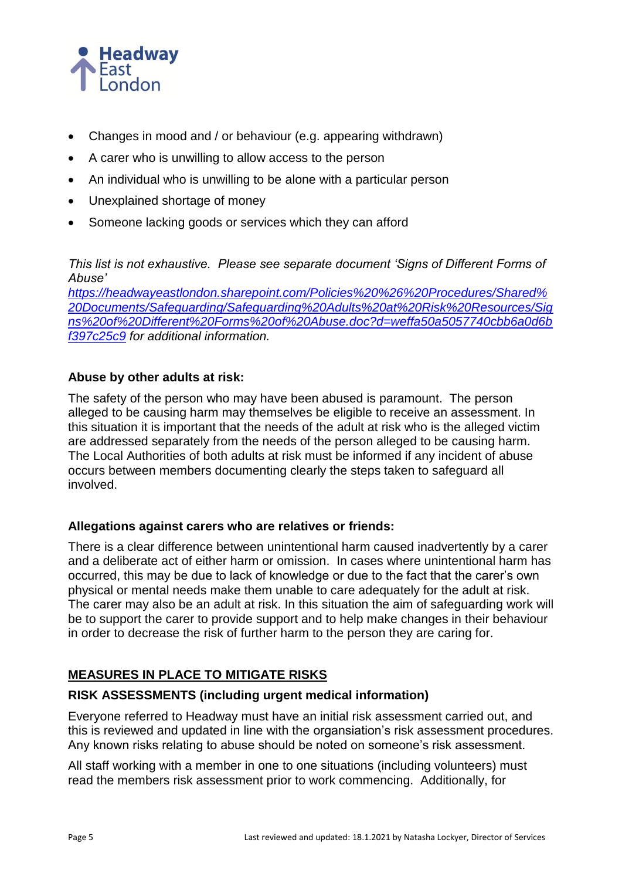

- Changes in mood and / or behaviour (e.g. appearing withdrawn)
- A carer who is unwilling to allow access to the person
- An individual who is unwilling to be alone with a particular person
- Unexplained shortage of money
- Someone lacking goods or services which they can afford

*This list is not exhaustive. Please see separate document 'Signs of Different Forms of Abuse'* 

*[https://headwayeastlondon.sharepoint.com/Policies%20%26%20Procedures/Shared%](https://headwayeastlondon.sharepoint.com/P-P/Shared%20Documents/Safeguarding/Safeguarding%20Adults%20at%20Risk%20Resources/Signs%20of%20Different%20Forms%20of%20Abuse.doc?d=weffa50a5057740cbb6a0d6bf397c25c9) [20Documents/Safeguarding/Safeguarding%20Adults%20at%20Risk%20Resources/Sig](https://headwayeastlondon.sharepoint.com/P-P/Shared%20Documents/Safeguarding/Safeguarding%20Adults%20at%20Risk%20Resources/Signs%20of%20Different%20Forms%20of%20Abuse.doc?d=weffa50a5057740cbb6a0d6bf397c25c9) [ns%20of%20Different%20Forms%20of%20Abuse.doc?d=weffa50a5057740cbb6a0d6b](https://headwayeastlondon.sharepoint.com/P-P/Shared%20Documents/Safeguarding/Safeguarding%20Adults%20at%20Risk%20Resources/Signs%20of%20Different%20Forms%20of%20Abuse.doc?d=weffa50a5057740cbb6a0d6bf397c25c9) [f397c25c9](https://headwayeastlondon.sharepoint.com/P-P/Shared%20Documents/Safeguarding/Safeguarding%20Adults%20at%20Risk%20Resources/Signs%20of%20Different%20Forms%20of%20Abuse.doc?d=weffa50a5057740cbb6a0d6bf397c25c9) for additional information.*

## **Abuse by other adults at risk:**

The safety of the person who may have been abused is paramount. The person alleged to be causing harm may themselves be eligible to receive an assessment. In this situation it is important that the needs of the adult at risk who is the alleged victim are addressed separately from the needs of the person alleged to be causing harm. The Local Authorities of both adults at risk must be informed if any incident of abuse occurs between members documenting clearly the steps taken to safeguard all involved.

## **Allegations against carers who are relatives or friends:**

There is a clear difference between unintentional harm caused inadvertently by a carer and a deliberate act of either harm or omission. In cases where unintentional harm has occurred, this may be due to lack of knowledge or due to the fact that the carer's own physical or mental needs make them unable to care adequately for the adult at risk. The carer may also be an adult at risk. In this situation the aim of safeguarding work will be to support the carer to provide support and to help make changes in their behaviour in order to decrease the risk of further harm to the person they are caring for.

# **MEASURES IN PLACE TO MITIGATE RISKS**

## **RISK ASSESSMENTS (including urgent medical information)**

Everyone referred to Headway must have an initial risk assessment carried out, and this is reviewed and updated in line with the organsiation's risk assessment procedures. Any known risks relating to abuse should be noted on someone's risk assessment.

All staff working with a member in one to one situations (including volunteers) must read the members risk assessment prior to work commencing. Additionally, for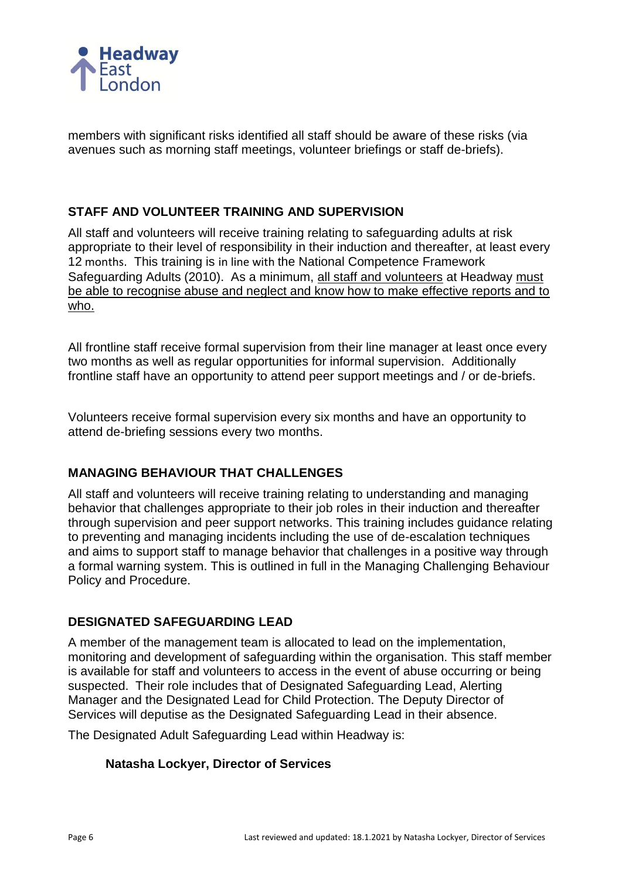

members with significant risks identified all staff should be aware of these risks (via avenues such as morning staff meetings, volunteer briefings or staff de-briefs).

## **STAFF AND VOLUNTEER TRAINING AND SUPERVISION**

All staff and volunteers will receive training relating to safeguarding adults at risk appropriate to their level of responsibility in their induction and thereafter, at least every 12 months. This training is in line with the National Competence Framework Safeguarding Adults (2010). As a minimum, all staff and volunteers at Headway must be able to recognise abuse and neglect and know how to make effective reports and to who.

All frontline staff receive formal supervision from their line manager at least once every two months as well as regular opportunities for informal supervision. Additionally frontline staff have an opportunity to attend peer support meetings and / or de-briefs.

Volunteers receive formal supervision every six months and have an opportunity to attend de-briefing sessions every two months.

## **MANAGING BEHAVIOUR THAT CHALLENGES**

All staff and volunteers will receive training relating to understanding and managing behavior that challenges appropriate to their job roles in their induction and thereafter through supervision and peer support networks. This training includes guidance relating to preventing and managing incidents including the use of de-escalation techniques and aims to support staff to manage behavior that challenges in a positive way through a formal warning system. This is outlined in full in the Managing Challenging Behaviour Policy and Procedure.

## **DESIGNATED SAFEGUARDING LEAD**

A member of the management team is allocated to lead on the implementation, monitoring and development of safeguarding within the organisation. This staff member is available for staff and volunteers to access in the event of abuse occurring or being suspected. Their role includes that of Designated Safeguarding Lead, Alerting Manager and the Designated Lead for Child Protection. The Deputy Director of Services will deputise as the Designated Safeguarding Lead in their absence.

The Designated Adult Safeguarding Lead within Headway is:

#### **Natasha Lockyer, Director of Services**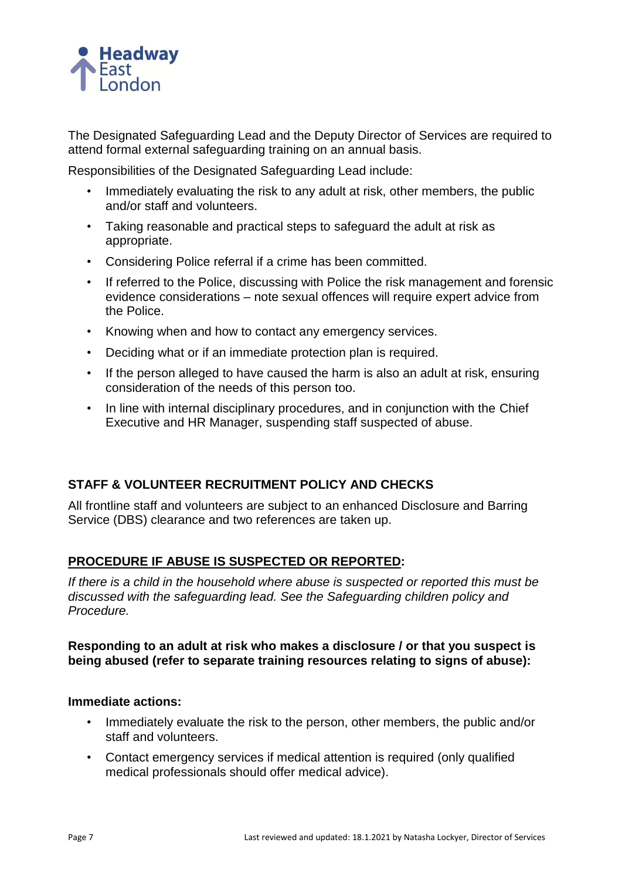

The Designated Safeguarding Lead and the Deputy Director of Services are required to attend formal external safeguarding training on an annual basis.

Responsibilities of the Designated Safeguarding Lead include:

- Immediately evaluating the risk to any adult at risk, other members, the public and/or staff and volunteers.
- Taking reasonable and practical steps to safeguard the adult at risk as appropriate.
- Considering Police referral if a crime has been committed.
- If referred to the Police, discussing with Police the risk management and forensic evidence considerations – note sexual offences will require expert advice from the Police.
- Knowing when and how to contact any emergency services.
- Deciding what or if an immediate protection plan is required.
- If the person alleged to have caused the harm is also an adult at risk, ensuring consideration of the needs of this person too.
- In line with internal disciplinary procedures, and in conjunction with the Chief Executive and HR Manager, suspending staff suspected of abuse.

# **STAFF & VOLUNTEER RECRUITMENT POLICY AND CHECKS**

All frontline staff and volunteers are subject to an enhanced Disclosure and Barring Service (DBS) clearance and two references are taken up.

# **PROCEDURE IF ABUSE IS SUSPECTED OR REPORTED:**

*If there is a child in the household where abuse is suspected or reported this must be discussed with the safeguarding lead. See the Safeguarding children policy and Procedure.* 

## **Responding to an adult at risk who makes a disclosure / or that you suspect is being abused (refer to separate training resources relating to signs of abuse):**

#### **Immediate actions:**

- Immediately evaluate the risk to the person, other members, the public and/or staff and volunteers.
- Contact emergency services if medical attention is required (only qualified medical professionals should offer medical advice).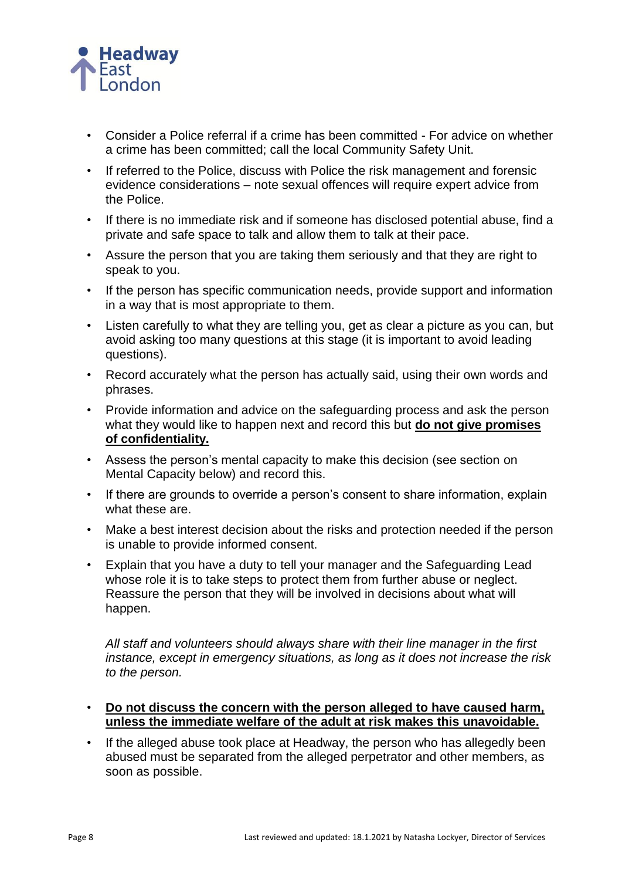

- Consider a Police referral if a crime has been committed For advice on whether a crime has been committed; call the local Community Safety Unit.
- If referred to the Police, discuss with Police the risk management and forensic evidence considerations – note sexual offences will require expert advice from the Police.
- If there is no immediate risk and if someone has disclosed potential abuse, find a private and safe space to talk and allow them to talk at their pace.
- Assure the person that you are taking them seriously and that they are right to speak to you.
- If the person has specific communication needs, provide support and information in a way that is most appropriate to them.
- Listen carefully to what they are telling you, get as clear a picture as you can, but avoid asking too many questions at this stage (it is important to avoid leading questions).
- Record accurately what the person has actually said, using their own words and phrases.
- Provide information and advice on the safeguarding process and ask the person what they would like to happen next and record this but **do not give promises of confidentiality.**
- Assess the person's mental capacity to make this decision (see section on Mental Capacity below) and record this.
- If there are grounds to override a person's consent to share information, explain what these are.
- Make a best interest decision about the risks and protection needed if the person is unable to provide informed consent.
- Explain that you have a duty to tell your manager and the Safeguarding Lead whose role it is to take steps to protect them from further abuse or neglect. Reassure the person that they will be involved in decisions about what will happen.

*All staff and volunteers should always share with their line manager in the first instance, except in emergency situations, as long as it does not increase the risk to the person.*

- **Do not discuss the concern with the person alleged to have caused harm, unless the immediate welfare of the adult at risk makes this unavoidable.**
- If the alleged abuse took place at Headway, the person who has allegedly been abused must be separated from the alleged perpetrator and other members, as soon as possible.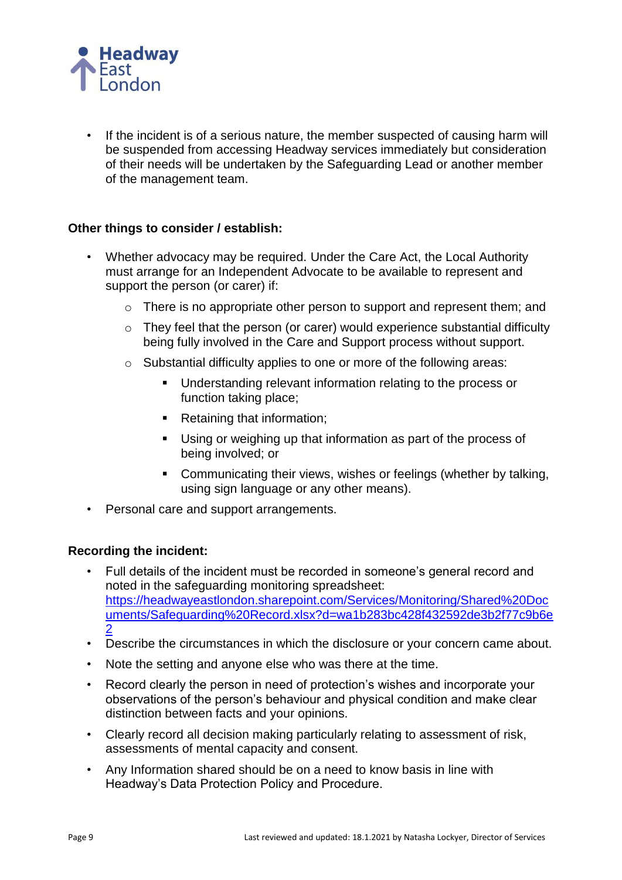

• If the incident is of a serious nature, the member suspected of causing harm will be suspended from accessing Headway services immediately but consideration of their needs will be undertaken by the Safeguarding Lead or another member of the management team.

## **Other things to consider / establish:**

- Whether advocacy may be required. Under the Care Act, the Local Authority must arrange for an Independent Advocate to be available to represent and support the person (or carer) if:
	- o There is no appropriate other person to support and represent them; and
	- o They feel that the person (or carer) would experience substantial difficulty being fully involved in the Care and Support process without support.
	- o Substantial difficulty applies to one or more of the following areas:
		- Understanding relevant information relating to the process or function taking place;
		- Retaining that information;
		- Using or weighing up that information as part of the process of being involved; or
		- Communicating their views, wishes or feelings (whether by talking, using sign language or any other means).
- Personal care and support arrangements.

#### **Recording the incident:**

- Full details of the incident must be recorded in someone's general record and noted in the safeguarding monitoring spreadsheet: [https://headwayeastlondon.sharepoint.com/Services/Monitoring/Shared%20Doc](https://headwayeastlondon.sharepoint.com/Services/Mon/Shared%20Documents/Safeguarding%20Record.xlsx?d=wa1b283bc428f432592de3b2f77c9b6e2) [uments/Safeguarding%20Record.xlsx?d=wa1b283bc428f432592de3b2f77c9b6e](https://headwayeastlondon.sharepoint.com/Services/Mon/Shared%20Documents/Safeguarding%20Record.xlsx?d=wa1b283bc428f432592de3b2f77c9b6e2) [2](https://headwayeastlondon.sharepoint.com/Services/Mon/Shared%20Documents/Safeguarding%20Record.xlsx?d=wa1b283bc428f432592de3b2f77c9b6e2)
- Describe the circumstances in which the disclosure or your concern came about.
- Note the setting and anyone else who was there at the time.
- Record clearly the person in need of protection's wishes and incorporate your observations of the person's behaviour and physical condition and make clear distinction between facts and your opinions.
- Clearly record all decision making particularly relating to assessment of risk, assessments of mental capacity and consent.
- Any Information shared should be on a need to know basis in line with Headway's Data Protection Policy and Procedure.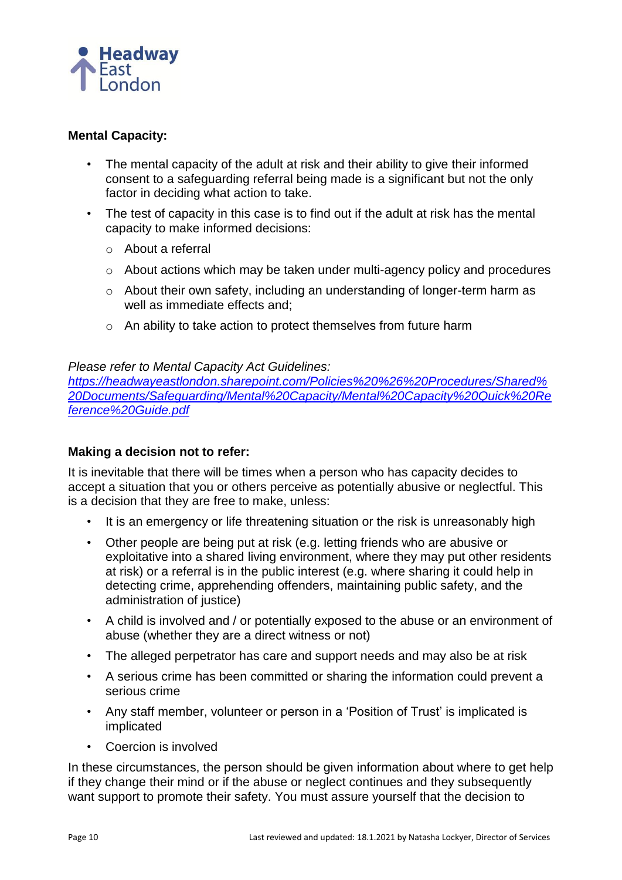

## **Mental Capacity:**

- The mental capacity of the adult at risk and their ability to give their informed consent to a safeguarding referral being made is a significant but not the only factor in deciding what action to take.
- The test of capacity in this case is to find out if the adult at risk has the mental capacity to make informed decisions:
	- o About a referral
	- o About actions which may be taken under multi-agency policy and procedures
	- o About their own safety, including an understanding of longer-term harm as well as immediate effects and;
	- o An ability to take action to protect themselves from future harm

## *Please refer to Mental Capacity Act Guidelines:*

*[https://headwayeastlondon.sharepoint.com/Policies%20%26%20Procedures/Shared%](https://headwayeastlondon.sharepoint.com/P-P/Shared%20Documents/Safeguarding/Mental%20Capacity/Mental%20Capacity%20Quick%20Reference%20Guide.pdf) [20Documents/Safeguarding/Mental%20Capacity/Mental%20Capacity%20Quick%20Re](https://headwayeastlondon.sharepoint.com/P-P/Shared%20Documents/Safeguarding/Mental%20Capacity/Mental%20Capacity%20Quick%20Reference%20Guide.pdf) [ference%20Guide.pdf](https://headwayeastlondon.sharepoint.com/P-P/Shared%20Documents/Safeguarding/Mental%20Capacity/Mental%20Capacity%20Quick%20Reference%20Guide.pdf)*

## **Making a decision not to refer:**

It is inevitable that there will be times when a person who has capacity decides to accept a situation that you or others perceive as potentially abusive or neglectful. This is a decision that they are free to make, unless:

- It is an emergency or life threatening situation or the risk is unreasonably high
- Other people are being put at risk (e.g. letting friends who are abusive or exploitative into a shared living environment, where they may put other residents at risk) or a referral is in the public interest (e.g. where sharing it could help in detecting crime, apprehending offenders, maintaining public safety, and the administration of justice)
- A child is involved and / or potentially exposed to the abuse or an environment of abuse (whether they are a direct witness or not)
- The alleged perpetrator has care and support needs and may also be at risk
- A serious crime has been committed or sharing the information could prevent a serious crime
- Any staff member, volunteer or person in a 'Position of Trust' is implicated is implicated
- Coercion is involved

In these circumstances, the person should be given information about where to get help if they change their mind or if the abuse or neglect continues and they subsequently want support to promote their safety. You must assure yourself that the decision to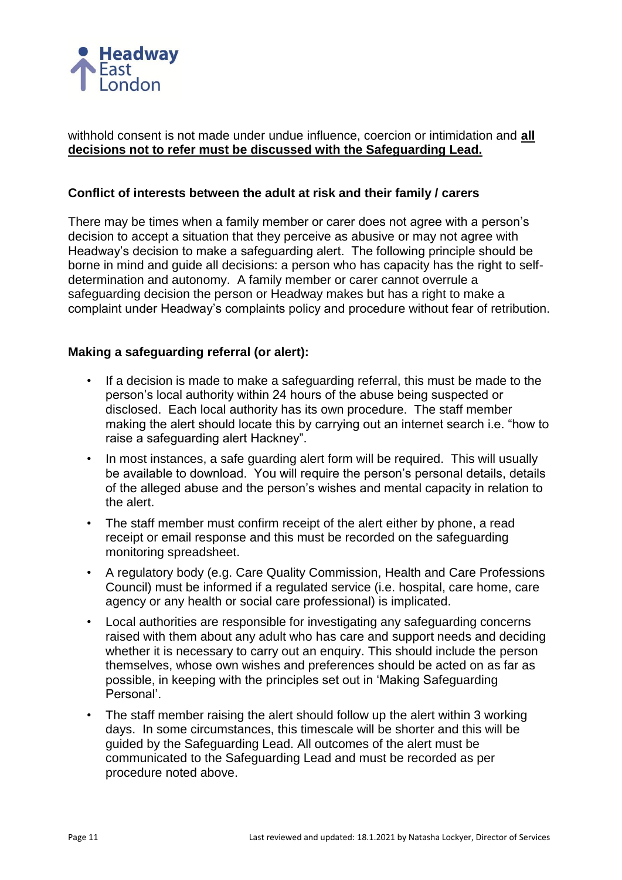

## withhold consent is not made under undue influence, coercion or intimidation and **all decisions not to refer must be discussed with the Safeguarding Lead.**

## **Conflict of interests between the adult at risk and their family / carers**

There may be times when a family member or carer does not agree with a person's decision to accept a situation that they perceive as abusive or may not agree with Headway's decision to make a safeguarding alert. The following principle should be borne in mind and guide all decisions: a person who has capacity has the right to selfdetermination and autonomy. A family member or carer cannot overrule a safeguarding decision the person or Headway makes but has a right to make a complaint under Headway's complaints policy and procedure without fear of retribution.

## **Making a safeguarding referral (or alert):**

- If a decision is made to make a safeguarding referral, this must be made to the person's local authority within 24 hours of the abuse being suspected or disclosed. Each local authority has its own procedure. The staff member making the alert should locate this by carrying out an internet search i.e. "how to raise a safeguarding alert Hackney".
- In most instances, a safe guarding alert form will be required. This will usually be available to download. You will require the person's personal details, details of the alleged abuse and the person's wishes and mental capacity in relation to the alert.
- The staff member must confirm receipt of the alert either by phone, a read receipt or email response and this must be recorded on the safeguarding monitoring spreadsheet.
- A regulatory body (e.g. Care Quality Commission, Health and Care Professions Council) must be informed if a regulated service (i.e. hospital, care home, care agency or any health or social care professional) is implicated.
- Local authorities are responsible for investigating any safeguarding concerns raised with them about any adult who has care and support needs and deciding whether it is necessary to carry out an enquiry. This should include the person themselves, whose own wishes and preferences should be acted on as far as possible, in keeping with the principles set out in 'Making Safeguarding Personal'.
- The staff member raising the alert should follow up the alert within 3 working days. In some circumstances, this timescale will be shorter and this will be guided by the Safeguarding Lead. All outcomes of the alert must be communicated to the Safeguarding Lead and must be recorded as per procedure noted above.